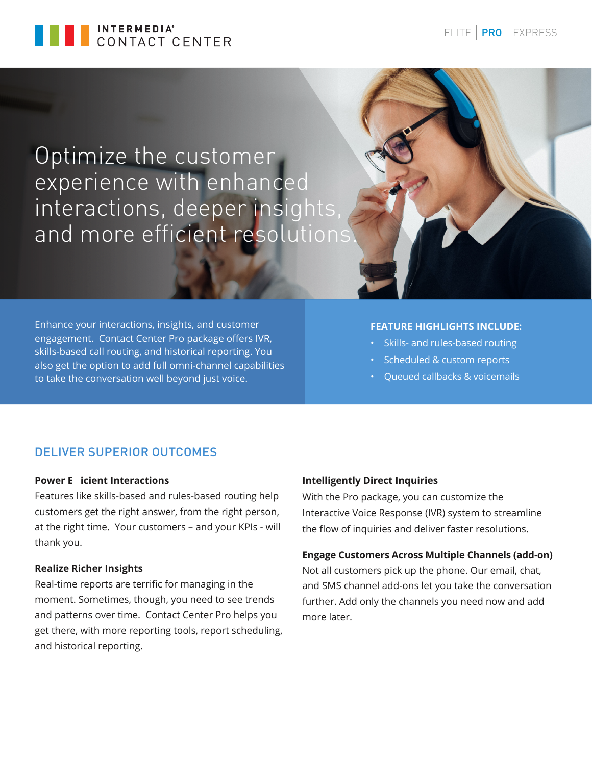

Optimize the customer experience with enhanced interactions, deeper insights, and more efficient resolutions

Enhance your interactions, insights, and customer engagement. Contact Center Pro package offers IVR, skills-based call routing, and historical reporting. You also get the option to add full omni-channel capabilities to take the conversation well beyond just voice.

### **FEATURE HIGHLIGHTS INCLUDE:**

- Skills- and rules-based routing
- Scheduled & custom reports
- Queued callbacks & voicemails

# DELIVER SUPERIOR OUTCOMES

# **Power E icient Interactions**

Features like skills-based and rules-based routing help customers get the right answer, from the right person, at the right time. Your customers – and your KPIs - will thank you.

### **Realize Richer Insights**

Real-time reports are terrific for managing in the moment. Sometimes, though, you need to see trends and patterns over time. Contact Center Pro helps you get there, with more reporting tools, report scheduling, and historical reporting.

### **Intelligently Direct Inquiries**

With the Pro package, you can customize the Interactive Voice Response (IVR) system to streamline the flow of inquiries and deliver faster resolutions.

### **Engage Customers Across Multiple Channels (add-on)**

Not all customers pick up the phone. Our email, chat, and SMS channel add-ons let you take the conversation further. Add only the channels you need now and add more later.